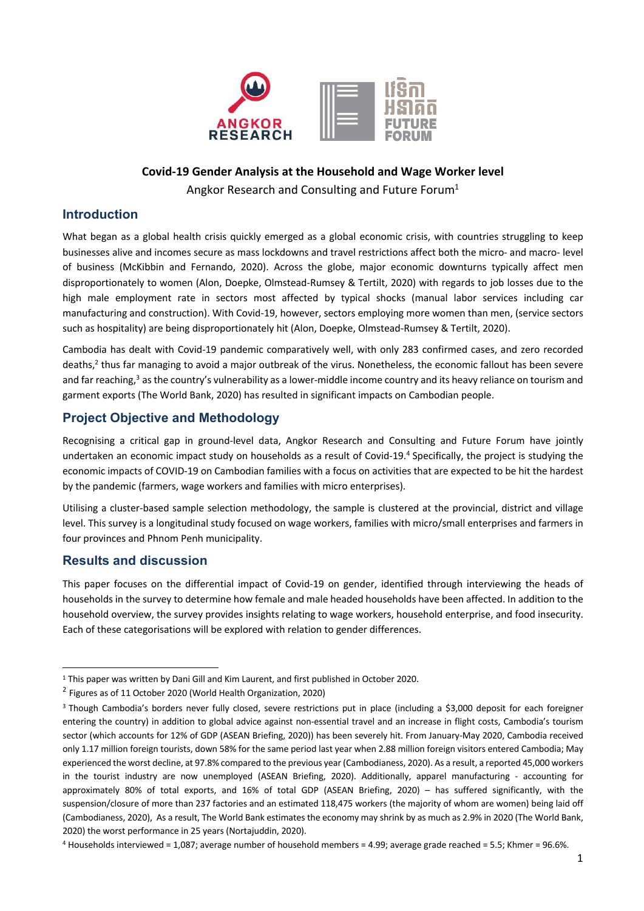

# **Covid-19 Gender Analysis at the Household and Wage Worker level** Angkor Research and Consulting and Future Forum<sup>1</sup>

## **Introduction**

What began as a global health crisis quickly emerged as a global economic crisis, with countries struggling to keep businesses alive and incomes secure as mass lockdowns and travel restrictions affect both the micro- and macro- level of business (McKibbin and Fernando, 2020). Across the globe, major economic downturns typically affect men disproportionately to women (Alon, Doepke, Olmstead-Rumsey & Tertilt, 2020) with regards to job losses due to the high male employment rate in sectors most affected by typical shocks (manual labor services including car manufacturing and construction). With Covid-19, however, sectors employing more women than men, (service sectors such as hospitality) are being disproportionately hit (Alon, Doepke, Olmstead-Rumsey & Tertilt, 2020).

Cambodia has dealt with Covid-19 pandemic comparatively well, with only 283 confirmed cases, and zero recorded deaths,<sup>2</sup> thus far managing to avoid a major outbreak of the virus. Nonetheless, the economic fallout has been severe and far reaching,<sup>3</sup> as the country's vulnerability as a lower-middle income country and its heavy reliance on tourism and garment exports (The World Bank, 2020) has resulted in significant impacts on Cambodian people.

# **Project Objective and Methodology**

Recognising a critical gap in ground-level data, Angkor Research and Consulting and Future Forum have jointly undertaken an economic impact study on households as a result of Covid-19.<sup>4</sup> Specifically, the project is studying the economic impacts of COVID-19 on Cambodian families with a focus on activities that are expected to be hit the hardest by the pandemic (farmers, wage workers and families with micro enterprises).

Utilising a cluster-based sample selection methodology, the sample is clustered at the provincial, district and village level. This survey is a longitudinal study focused on wage workers, families with micro/small enterprises and farmers in four provinces and Phnom Penh municipality.

# **Results and discussion**

This paper focuses on the differential impact of Covid-19 on gender, identified through interviewing the heads of households in the survey to determine how female and male headed households have been affected. In addition to the household overview, the survey provides insights relating to wage workers, household enterprise, and food insecurity. Each of these categorisations will be explored with relation to gender differences.

<sup>&</sup>lt;sup>1</sup> This paper was written by Dani Gill and Kim Laurent, and first published in October 2020.

<sup>2</sup> Figures as of 11 October 2020 (World Health Organization, 2020)

<sup>3</sup> Though Cambodia's borders never fully closed, severe restrictions put in place (including a \$3,000 deposit for each foreigner entering the country) in addition to global advice against non-essential travel and an increase in flight costs, Cambodia's tourism sector (which accounts for 12% of GDP (ASEAN Briefing, 2020)) has been severely hit. From January-May 2020, Cambodia received only 1.17 million foreign tourists, down 58% for the same period last year when 2.88 million foreign visitors entered Cambodia; May experienced the worst decline, at 97.8% compared to the previous year (Cambodianess, 2020). As a result, a reported 45,000 workers in the tourist industry are now unemployed (ASEAN Briefing, 2020). Additionally, apparel manufacturing - accounting for approximately 80% of total exports, and 16% of total GDP (ASEAN Briefing, 2020) – has suffered significantly, with the suspension/closure of more than 237 factories and an estimated 118,475 workers (the majority of whom are women) being laid off (Cambodianess, 2020), As a result, The World Bank estimates the economy may shrink by as much as 2.9% in 2020 (The World Bank, 2020) the worst performance in 25 years (Nortajuddin, 2020).

<sup>4</sup> Households interviewed = 1,087; average number of household members = 4.99; average grade reached = 5.5; Khmer = 96.6%.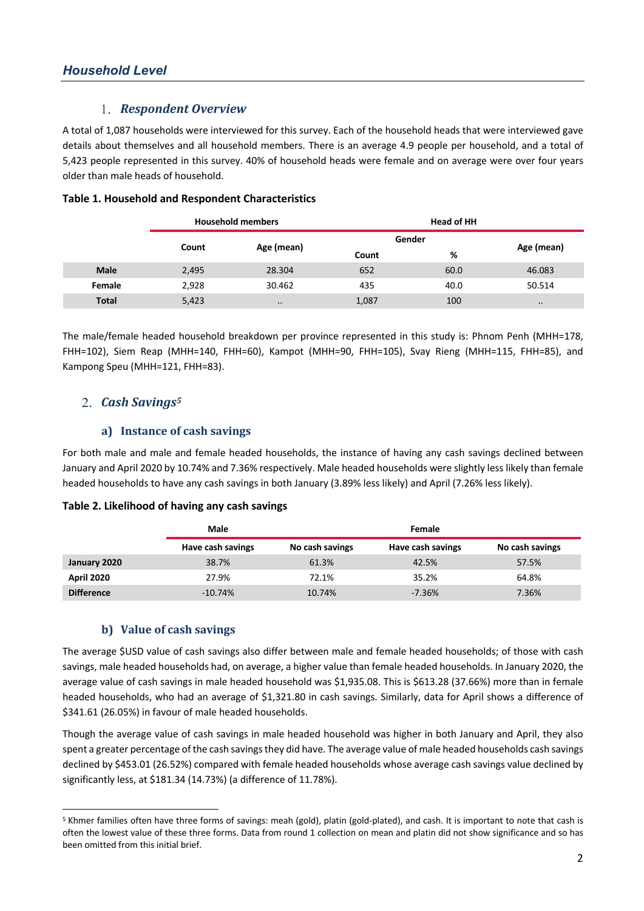### *Respondent Overview*

A total of 1,087 households were interviewed for this survey. Each of the household heads that were interviewed gave details about themselves and all household members. There is an average 4.9 people per household, and a total of 5,423 people represented in this survey. 40% of household heads were female and on average were over four years older than male heads of household.

|              | <b>Household members</b> |                     | <b>Head of HH</b> |      |                  |  |
|--------------|--------------------------|---------------------|-------------------|------|------------------|--|
|              |                          |                     | Gender            |      |                  |  |
|              | Count                    | Age (mean)          | Count             | %    | Age (mean)       |  |
| <b>Male</b>  | 2,495                    | 28.304              | 652               | 60.0 | 46.083           |  |
| Female       | 2,928                    | 30.462              | 435               | 40.0 | 50.514           |  |
| <b>Total</b> | 5,423                    | $\bullet$ $\bullet$ | 1,087             | 100  | $\bullet\bullet$ |  |

#### **Table 1. Household and Respondent Characteristics**

The male/female headed household breakdown per province represented in this study is: Phnom Penh (MHH=178, FHH=102), Siem Reap (MHH=140, FHH=60), Kampot (MHH=90, FHH=105), Svay Rieng (MHH=115, FHH=85), and Kampong Speu (MHH=121, FHH=83).

# *Cash Savings5*

### a) Instance of cash savings

For both male and male and female headed households, the instance of having any cash savings declined between January and April 2020 by 10.74% and 7.36% respectively. Male headed households were slightly less likely than female headed households to have any cash savings in both January (3.89% less likely) and April (7.26% less likely).

#### **Table 2. Likelihood of having any cash savings**

|                   | Male              |                 | Female            |                 |
|-------------------|-------------------|-----------------|-------------------|-----------------|
|                   | Have cash savings | No cash savings | Have cash savings | No cash savings |
| January 2020      | 38.7%             | 61.3%           | 42.5%             | 57.5%           |
| <b>April 2020</b> | 27.9%             | 72.1%           | 35.2%             | 64.8%           |
| <b>Difference</b> | $-10.74%$         | 10.74%          | $-7.36%$          | 7.36%           |

#### **b)** Value of cash savings

The average \$USD value of cash savings also differ between male and female headed households; of those with cash savings, male headed households had, on average, a higher value than female headed households. In January 2020, the average value of cash savings in male headed household was \$1,935.08. This is \$613.28 (37.66%) more than in female headed households, who had an average of \$1,321.80 in cash savings. Similarly, data for April shows a difference of \$341.61 (26.05%) in favour of male headed households.

Though the average value of cash savings in male headed household was higher in both January and April, they also spent a greater percentage of the cash savings they did have. The average value of male headed households cash savings declined by \$453.01 (26.52%) compared with female headed households whose average cash savings value declined by significantly less, at \$181.34 (14.73%) (a difference of 11.78%).

<sup>5</sup> Khmer families often have three forms of savings: meah (gold), platin (gold-plated), and cash. It is important to note that cash is often the lowest value of these three forms. Data from round 1 collection on mean and platin did not show significance and so has been omitted from this initial brief.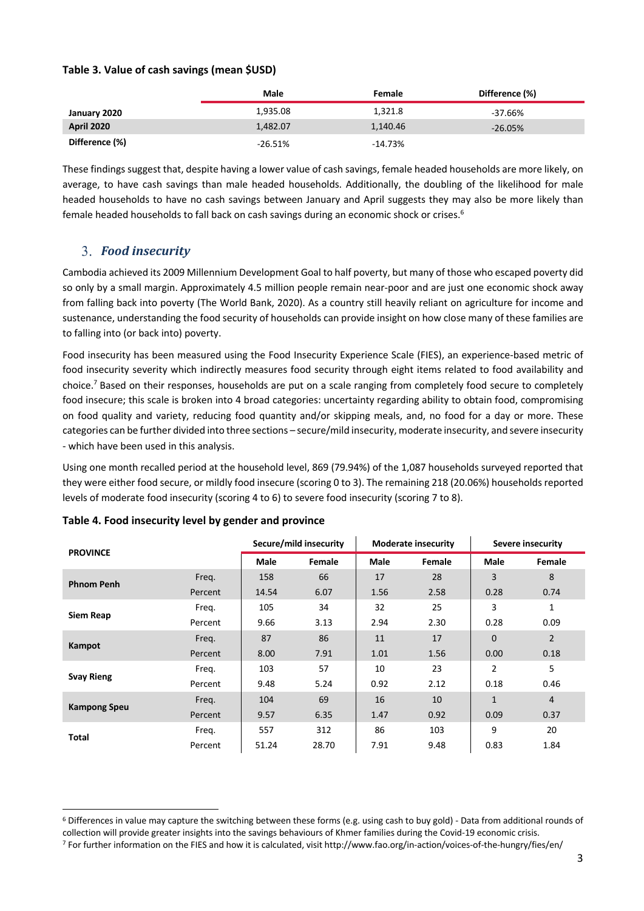#### **Table 3. Value of cash savings (mean \$USD)**

|                   | Male       | Female    | Difference (%) |
|-------------------|------------|-----------|----------------|
| January 2020      | 1,935.08   | 1,321.8   | $-37.66%$      |
| <b>April 2020</b> | 1,482.07   | 1,140.46  | $-26.05%$      |
| Difference (%)    | $-26.51\%$ | $-14.73%$ |                |

These findings suggest that, despite having a lower value of cash savings, female headed households are more likely, on average, to have cash savings than male headed households. Additionally, the doubling of the likelihood for male headed households to have no cash savings between January and April suggests they may also be more likely than female headed households to fall back on cash savings during an economic shock or crises. 6

## *Food insecurity*

Cambodia achieved its 2009 Millennium Development Goal to half poverty, but many of those who escaped poverty did so only by a small margin. Approximately 4.5 million people remain near-poor and are just one economic shock away from falling back into poverty (The World Bank, 2020). As a country still heavily reliant on agriculture for income and sustenance, understanding the food security of households can provide insight on how close many of these families are to falling into (or back into) poverty.

Food insecurity has been measured using the Food Insecurity Experience Scale (FIES), an experience-based metric of food insecurity severity which indirectly measures food security through eight items related to food availability and choice.7 Based on their responses, households are put on a scale ranging from completely food secure to completely food insecure; this scale is broken into 4 broad categories: uncertainty regarding ability to obtain food, compromising on food quality and variety, reducing food quantity and/or skipping meals, and, no food for a day or more. These categories can be further divided into three sections – secure/mild insecurity, moderate insecurity, and severe insecurity - which have been used in this analysis.

Using one month recalled period at the household level, 869 (79.94%) of the 1,087 households surveyed reported that they were either food secure, or mildly food insecure (scoring 0 to 3). The remaining 218 (20.06%) households reported levels of moderate food insecurity (scoring 4 to 6) to severe food insecurity (scoring 7 to 8).

| <b>PROVINCE</b>     |         | Secure/mild insecurity |               | <b>Moderate insecurity</b> |        | Severe insecurity |                |
|---------------------|---------|------------------------|---------------|----------------------------|--------|-------------------|----------------|
|                     |         | <b>Male</b>            | <b>Female</b> | <b>Male</b>                | Female | Male              | Female         |
| <b>Phnom Penh</b>   | Freq.   | 158                    | 66            | 17                         | 28     | 3                 | 8              |
|                     | Percent | 14.54                  | 6.07          | 1.56                       | 2.58   | 0.28              | 0.74           |
| <b>Siem Reap</b>    | Freq.   | 105                    | 34            | 32                         | 25     | 3                 | $\mathbf{1}$   |
|                     | Percent | 9.66                   | 3.13          | 2.94                       | 2.30   | 0.28              | 0.09           |
| Kampot              | Freg.   | 87                     | 86            | 11                         | 17     | $\mathbf 0$       | $\overline{2}$ |
|                     | Percent | 8.00                   | 7.91          | 1.01                       | 1.56   | 0.00              | 0.18           |
|                     | Freq.   | 103                    | 57            | 10                         | 23     | $\overline{2}$    | 5              |
| <b>Svay Rieng</b>   | Percent | 9.48                   | 5.24          | 0.92                       | 2.12   | 0.18              | 0.46           |
|                     | Freq.   | 104                    | 69            | 16                         | 10     | $\mathbf{1}$      | 4              |
| <b>Kampong Speu</b> | Percent | 9.57                   | 6.35          | 1.47                       | 0.92   | 0.09              | 0.37           |
|                     | Freq.   | 557                    | 312           | 86                         | 103    | 9                 | 20             |
| <b>Total</b>        | Percent | 51.24                  | 28.70         | 7.91                       | 9.48   | 0.83              | 1.84           |

#### **Table 4. Food insecurity level by gender and province**

<sup>&</sup>lt;sup>6</sup> Differences in value may capture the switching between these forms (e.g. using cash to buy gold) - Data from additional rounds of collection will provide greater insights into the savings behaviours of Khmer families during the Covid-19 economic crisis. <sup>7</sup> For further information on the FIES and how it is calculated, visit http://www.fao.org/in-action/voices-of-the-hungry/fies/en/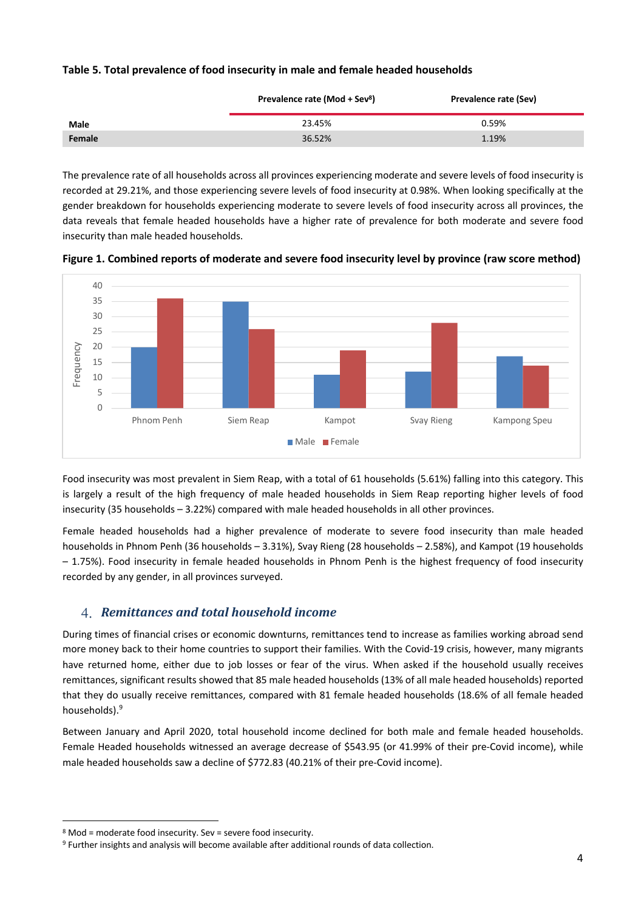| Table 5. Total prevalence of food insecurity in male and female headed households |  |
|-----------------------------------------------------------------------------------|--|
|-----------------------------------------------------------------------------------|--|

|             | Prevalence rate (Mod + Sev <sup>8</sup> ) | Prevalence rate (Sev) |  |  |
|-------------|-------------------------------------------|-----------------------|--|--|
| <b>Male</b> | 23.45%                                    | 0.59%                 |  |  |
| Female      | 36.52%                                    | 1.19%                 |  |  |

The prevalence rate of all households across all provinces experiencing moderate and severe levels of food insecurity is recorded at 29.21%, and those experiencing severe levels of food insecurity at 0.98%. When looking specifically at the gender breakdown for households experiencing moderate to severe levels of food insecurity across all provinces, the data reveals that female headed households have a higher rate of prevalence for both moderate and severe food insecurity than male headed households.



**Figure 1. Combined reports of moderate and severe food insecurity level by province (raw score method)** 

Food insecurity was most prevalent in Siem Reap, with a total of 61 households (5.61%) falling into this category. This is largely a result of the high frequency of male headed households in Siem Reap reporting higher levels of food insecurity (35 households – 3.22%) compared with male headed households in all other provinces.

Female headed households had a higher prevalence of moderate to severe food insecurity than male headed households in Phnom Penh (36 households – 3.31%), Svay Rieng (28 households – 2.58%), and Kampot (19 households – 1.75%). Food insecurity in female headed households in Phnom Penh is the highest frequency of food insecurity recorded by any gender, in all provinces surveyed.

# *Remittances and total household income*

During times of financial crises or economic downturns, remittances tend to increase as families working abroad send more money back to their home countries to support their families. With the Covid-19 crisis, however, many migrants have returned home, either due to job losses or fear of the virus. When asked if the household usually receives remittances, significant results showed that 85 male headed households (13% of all male headed households) reported that they do usually receive remittances, compared with 81 female headed households (18.6% of all female headed households).9

Between January and April 2020, total household income declined for both male and female headed households. Female Headed households witnessed an average decrease of \$543.95 (or 41.99% of their pre-Covid income), while male headed households saw a decline of \$772.83 (40.21% of their pre-Covid income).

<sup>8</sup> Mod = moderate food insecurity. Sev = severe food insecurity.

<sup>&</sup>lt;sup>9</sup> Further insights and analysis will become available after additional rounds of data collection.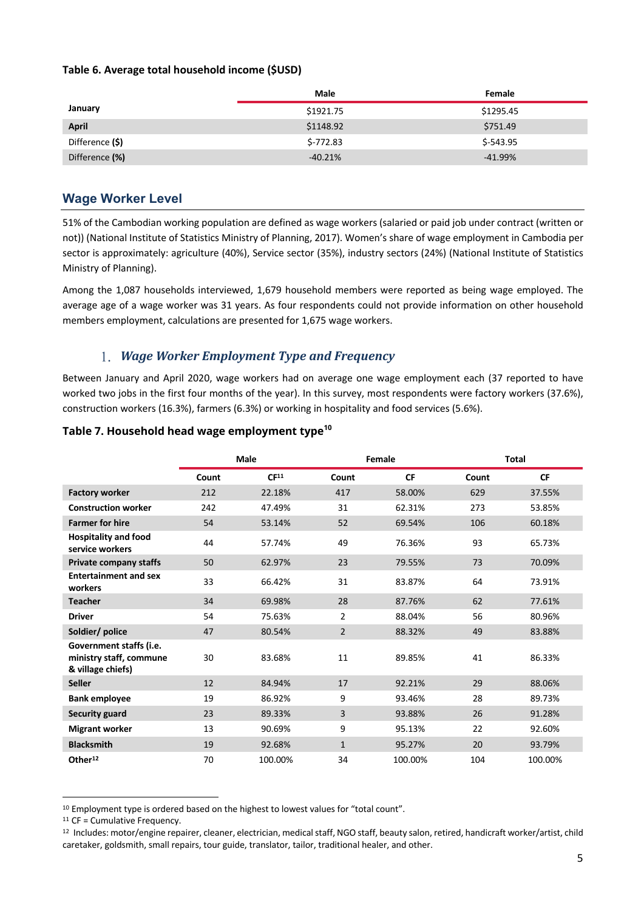#### **Table 6. Average total household income (\$USD)**

|                 | Male       | Female     |
|-----------------|------------|------------|
| January         | \$1921.75  | \$1295.45  |
| <b>April</b>    | \$1148.92  | \$751.49   |
| Difference (\$) | $$-772.83$ | \$-543.95  |
| Difference (%)  | $-40.21%$  | $-41.99\%$ |

# **Wage Worker Level**

51% of the Cambodian working population are defined as wage workers (salaried or paid job under contract (written or not)) (National Institute of Statistics Ministry of Planning, 2017). Women's share of wage employment in Cambodia per sector is approximately: agriculture (40%), Service sector (35%), industry sectors (24%) (National Institute of Statistics Ministry of Planning).

Among the 1,087 households interviewed, 1,679 household members were reported as being wage employed. The average age of a wage worker was 31 years. As four respondents could not provide information on other household members employment, calculations are presented for 1,675 wage workers.

# 1. *Wage Worker Employment Type and Frequency*

Between January and April 2020, wage workers had on average one wage employment each (37 reported to have worked two jobs in the first four months of the year). In this survey, most respondents were factory workers (37.6%), construction workers (16.3%), farmers (6.3%) or working in hospitality and food services (5.6%).

### **Table 7. Household head wage employment type<sup>10</sup>**

|                                                                         |       | Male             | Female         |           | <b>Total</b> |           |
|-------------------------------------------------------------------------|-------|------------------|----------------|-----------|--------------|-----------|
|                                                                         | Count | CF <sup>11</sup> | Count          | <b>CF</b> | Count        | <b>CF</b> |
| <b>Factory worker</b>                                                   | 212   | 22.18%           | 417            | 58.00%    | 629          | 37.55%    |
| <b>Construction worker</b>                                              | 242   | 47.49%           | 31             | 62.31%    | 273          | 53.85%    |
| <b>Farmer for hire</b>                                                  | 54    | 53.14%           | 52             | 69.54%    | 106          | 60.18%    |
| <b>Hospitality and food</b><br>service workers                          | 44    | 57.74%           | 49             | 76.36%    | 93           | 65.73%    |
| <b>Private company staffs</b>                                           | 50    | 62.97%           | 23             | 79.55%    | 73           | 70.09%    |
| <b>Entertainment and sex</b><br>workers                                 | 33    | 66.42%           | 31             | 83.87%    | 64           | 73.91%    |
| <b>Teacher</b>                                                          | 34    | 69.98%           | 28             | 87.76%    | 62           | 77.61%    |
| <b>Driver</b>                                                           | 54    | 75.63%           | $\overline{2}$ | 88.04%    | 56           | 80.96%    |
| Soldier/ police                                                         | 47    | 80.54%           | $\overline{2}$ | 88.32%    | 49           | 83.88%    |
| Government staffs (i.e.<br>ministry staff, commune<br>& village chiefs) | 30    | 83.68%           | 11             | 89.85%    | 41           | 86.33%    |
| <b>Seller</b>                                                           | 12    | 84.94%           | 17             | 92.21%    | 29           | 88.06%    |
| <b>Bank employee</b>                                                    | 19    | 86.92%           | 9              | 93.46%    | 28           | 89.73%    |
| <b>Security guard</b>                                                   | 23    | 89.33%           | 3              | 93.88%    | 26           | 91.28%    |
| <b>Migrant worker</b>                                                   | 13    | 90.69%           | 9              | 95.13%    | 22           | 92.60%    |
| <b>Blacksmith</b>                                                       | 19    | 92.68%           | $\mathbf{1}$   | 95.27%    | 20           | 93.79%    |
| Other <sup>12</sup>                                                     | 70    | 100.00%          | 34             | 100.00%   | 104          | 100.00%   |

<sup>&</sup>lt;sup>10</sup> Employment type is ordered based on the highest to lowest values for "total count".

<sup>&</sup>lt;sup>11</sup> CF = Cumulative Frequency.

<sup>12</sup> Includes: motor/engine repairer, cleaner, electrician, medical staff, NGO staff, beauty salon, retired, handicraft worker/artist, child caretaker, goldsmith, small repairs, tour guide, translator, tailor, traditional healer, and other.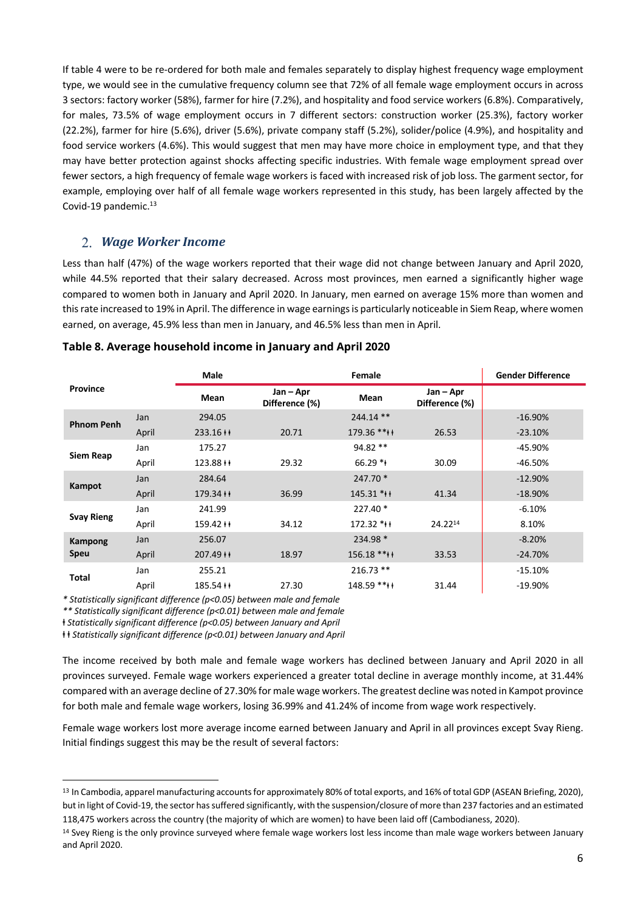If table 4 were to be re-ordered for both male and females separately to display highest frequency wage employment type, we would see in the cumulative frequency column see that 72% of all female wage employment occurs in across 3 sectors: factory worker (58%), farmer for hire (7.2%), and hospitality and food service workers (6.8%). Comparatively, for males, 73.5% of wage employment occurs in 7 different sectors: construction worker (25.3%), factory worker (22.2%), farmer for hire (5.6%), driver (5.6%), private company staff (5.2%), solider/police (4.9%), and hospitality and food service workers (4.6%). This would suggest that men may have more choice in employment type, and that they may have better protection against shocks affecting specific industries. With female wage employment spread over fewer sectors, a high frequency of female wage workers is faced with increased risk of job loss. The garment sector, for example, employing over half of all female wage workers represented in this study, has been largely affected by the Covid-19 pandemic.<sup>13</sup>

## *Wage Worker Income*

Less than half (47%) of the wage workers reported that their wage did not change between January and April 2020, while 44.5% reported that their salary decreased. Across most provinces, men earned a significantly higher wage compared to women both in January and April 2020. In January, men earned on average 15% more than women and this rate increased to 19% in April. The difference in wage earnings is particularly noticeable in Siem Reap, where women earned, on average, 45.9% less than men in January, and 46.5% less than men in April.

| <b>Province</b>   |       | <b>Male</b> |                             | Female       |                             | <b>Gender Difference</b> |
|-------------------|-------|-------------|-----------------------------|--------------|-----------------------------|--------------------------|
|                   |       | Mean        | Jan – Apr<br>Difference (%) | Mean         | Jan – Apr<br>Difference (%) |                          |
| <b>Phnom Penh</b> | Jan   | 294.05      |                             | 244.14 **    |                             | $-16.90%$                |
|                   | April | $233.16++$  | 20.71                       | $179.36$ *** | 26.53                       | $-23.10%$                |
|                   | Jan   | 175.27      |                             | $94.82**$    |                             | $-45.90%$                |
| Siem Reap         | April | $123.88++$  | 29.32                       | $66.29$ *    | 30.09                       | $-46.50%$                |
|                   | Jan   | 284.64      |                             | $247.70*$    |                             | $-12.90\%$               |
| Kampot            | April | $179.34 +$  | 36.99                       | $145.31$ *** | 41.34                       | $-18.90\%$               |
|                   | Jan   | 241.99      |                             | $227.40*$    |                             | $-6.10%$                 |
| <b>Svay Rieng</b> | April | $159.42 +$  | 34.12                       | $172.32$ *** | 24.2214                     | 8.10%                    |
| Kampong           | Jan   | 256.07      |                             | 234.98 *     |                             | $-8.20%$                 |
| <b>Speu</b>       | April | $207.49++$  | 18.97                       | $156.18$ *** | 33.53                       | $-24.70%$                |
|                   | Jan   | 255.21      |                             | $216.73$ **  |                             | $-15.10%$                |
| Total             | April | $185.54**$  | 27.30                       | 148.59 ****  | 31.44                       | $-19.90%$                |

#### **Table 8. Average household income in January and April 2020**

*\* Statistically significant difference (p<0.05) between male and female*

*\*\* Statistically significant difference (p<0.01) between male and female*

ⱡ *Statistically significant difference (p<0.05) between January and April*

ⱡ ⱡ *Statistically significant difference (p<0.01) between January and April*

The income received by both male and female wage workers has declined between January and April 2020 in all provinces surveyed. Female wage workers experienced a greater total decline in average monthly income, at 31.44% compared with an average decline of 27.30% for male wage workers. The greatest decline was noted in Kampot province for both male and female wage workers, losing 36.99% and 41.24% of income from wage work respectively.

Female wage workers lost more average income earned between January and April in all provinces except Svay Rieng. Initial findings suggest this may be the result of several factors:

<sup>13</sup> In Cambodia, apparel manufacturing accounts for approximately 80% of total exports, and 16% of total GDP (ASEAN Briefing, 2020), but in light of Covid-19, the sector has suffered significantly, with the suspension/closure of more than 237 factories and an estimated 118,475 workers across the country (the majority of which are women) to have been laid off (Cambodianess, 2020).

<sup>&</sup>lt;sup>14</sup> Svey Rieng is the only province surveyed where female wage workers lost less income than male wage workers between January and April 2020.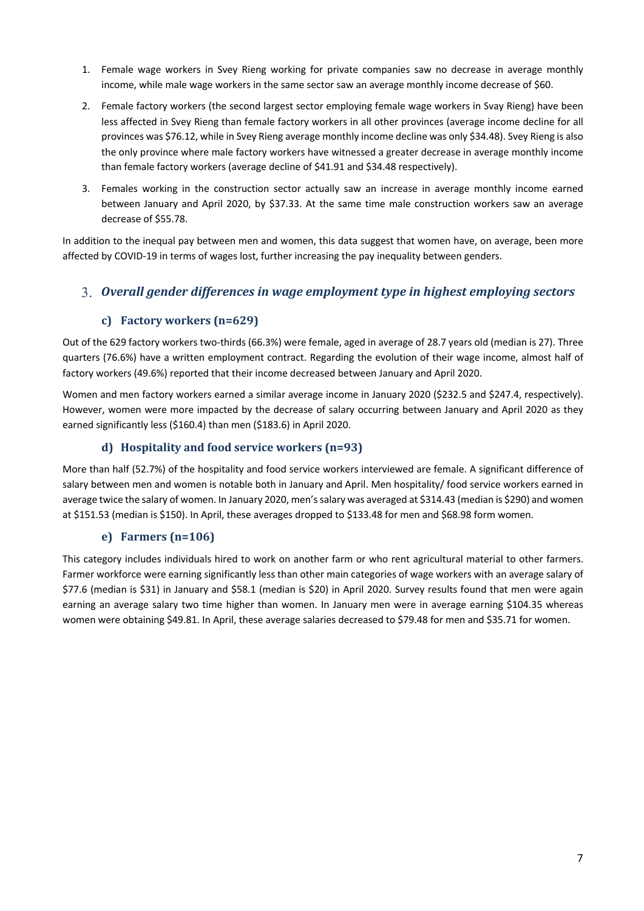- 1. Female wage workers in Svey Rieng working for private companies saw no decrease in average monthly income, while male wage workers in the same sector saw an average monthly income decrease of \$60.
- 2. Female factory workers (the second largest sector employing female wage workers in Svay Rieng) have been less affected in Svey Rieng than female factory workers in all other provinces (average income decline for all provinces was \$76.12, while in Svey Rieng average monthly income decline was only \$34.48). Svey Rieng is also the only province where male factory workers have witnessed a greater decrease in average monthly income than female factory workers (average decline of \$41.91 and \$34.48 respectively).
- 3. Females working in the construction sector actually saw an increase in average monthly income earned between January and April 2020, by \$37.33. At the same time male construction workers saw an average decrease of \$55.78.

In addition to the inequal pay between men and women, this data suggest that women have, on average, been more affected by COVID-19 in terms of wages lost, further increasing the pay inequality between genders.

## *Overall gender differences in wage employment type in highest employing sectors*

### **c) Factory workers (n=629)**

Out of the 629 factory workers two-thirds (66.3%) were female, aged in average of 28.7 years old (median is 27). Three quarters (76.6%) have a written employment contract. Regarding the evolution of their wage income, almost half of factory workers (49.6%) reported that their income decreased between January and April 2020.

Women and men factory workers earned a similar average income in January 2020 (\$232.5 and \$247.4, respectively). However, women were more impacted by the decrease of salary occurring between January and April 2020 as they earned significantly less (\$160.4) than men (\$183.6) in April 2020.

### **d) Hospitality** and food service workers  $(n=93)$

More than half (52.7%) of the hospitality and food service workers interviewed are female. A significant difference of salary between men and women is notable both in January and April. Men hospitality/ food service workers earned in average twice the salary of women. In January 2020, men's salary was averaged at \$314.43 (median is \$290) and women at \$151.53 (median is \$150). In April, these averages dropped to \$133.48 for men and \$68.98 form women.

### **e) Farmers (n=106)**

This category includes individuals hired to work on another farm or who rent agricultural material to other farmers. Farmer workforce were earning significantly less than other main categories of wage workers with an average salary of \$77.6 (median is \$31) in January and \$58.1 (median is \$20) in April 2020. Survey results found that men were again earning an average salary two time higher than women. In January men were in average earning \$104.35 whereas women were obtaining \$49.81. In April, these average salaries decreased to \$79.48 for men and \$35.71 for women.